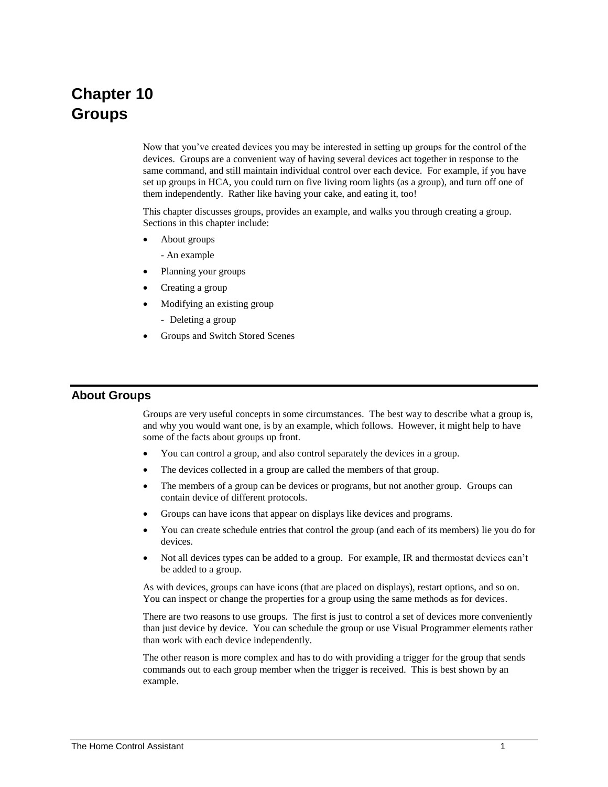# **Chapter 10 Groups**

Now that you've created devices you may be interested in setting up groups for the control of the devices. Groups are a convenient way of having several devices act together in response to the same command, and still maintain individual control over each device. For example, if you have set up groups in HCA, you could turn on five living room lights (as a group), and turn off one of them independently. Rather like having your cake, and eating it, too!

This chapter discusses groups, provides an example, and walks you through creating a group. Sections in this chapter include:

- About groups
	- An example
- Planning your groups
- Creating a group
- Modifying an existing group
	- Deleting a group
- Groups and Switch Stored Scenes

#### **About Groups**

Groups are very useful concepts in some circumstances. The best way to describe what a group is, and why you would want one, is by an example, which follows. However, it might help to have some of the facts about groups up front.

- You can control a group, and also control separately the devices in a group.
- The devices collected in a group are called the members of that group.
- The members of a group can be devices or programs, but not another group. Groups can contain device of different protocols.
- Groups can have icons that appear on displays like devices and programs.
- You can create schedule entries that control the group (and each of its members) lie you do for devices.
- Not all devices types can be added to a group. For example, IR and thermostat devices can't be added to a group.

As with devices, groups can have icons (that are placed on displays), restart options, and so on. You can inspect or change the properties for a group using the same methods as for devices.

There are two reasons to use groups. The first is just to control a set of devices more conveniently than just device by device. You can schedule the group or use Visual Programmer elements rather than work with each device independently.

The other reason is more complex and has to do with providing a trigger for the group that sends commands out to each group member when the trigger is received. This is best shown by an example.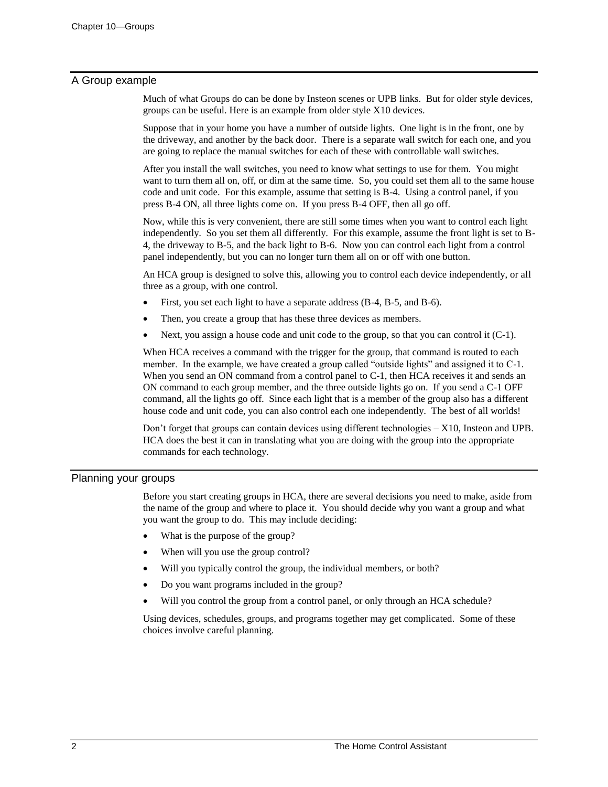## A Group example

Much of what Groups do can be done by Insteon scenes or UPB links. But for older style devices, groups can be useful. Here is an example from older style X10 devices.

Suppose that in your home you have a number of outside lights. One light is in the front, one by the driveway, and another by the back door. There is a separate wall switch for each one, and you are going to replace the manual switches for each of these with controllable wall switches.

After you install the wall switches, you need to know what settings to use for them. You might want to turn them all on, off, or dim at the same time. So, you could set them all to the same house code and unit code. For this example, assume that setting is B-4. Using a control panel, if you press B-4 ON, all three lights come on. If you press B-4 OFF, then all go off.

Now, while this is very convenient, there are still some times when you want to control each light independently. So you set them all differently. For this example, assume the front light is set to B-4, the driveway to B-5, and the back light to B-6. Now you can control each light from a control panel independently, but you can no longer turn them all on or off with one button.

An HCA group is designed to solve this, allowing you to control each device independently, or all three as a group, with one control.

- First, you set each light to have a separate address (B-4, B-5, and B-6).
- Then, you create a group that has these three devices as members.
- Next, you assign a house code and unit code to the group, so that you can control it  $(C-1)$ .

When HCA receives a command with the trigger for the group, that command is routed to each member. In the example, we have created a group called "outside lights" and assigned it to C-1. When you send an ON command from a control panel to C-1, then HCA receives it and sends an ON command to each group member, and the three outside lights go on. If you send a C-1 OFF command, all the lights go off. Since each light that is a member of the group also has a different house code and unit code, you can also control each one independently. The best of all worlds!

Don't forget that groups can contain devices using different technologies – X10, Insteon and UPB. HCA does the best it can in translating what you are doing with the group into the appropriate commands for each technology.

## Planning your groups

Before you start creating groups in HCA, there are several decisions you need to make, aside from the name of the group and where to place it. You should decide why you want a group and what you want the group to do. This may include deciding:

- What is the purpose of the group?
- When will you use the group control?
- Will you typically control the group, the individual members, or both?
- Do you want programs included in the group?
- Will you control the group from a control panel, or only through an HCA schedule?

Using devices, schedules, groups, and programs together may get complicated. Some of these choices involve careful planning.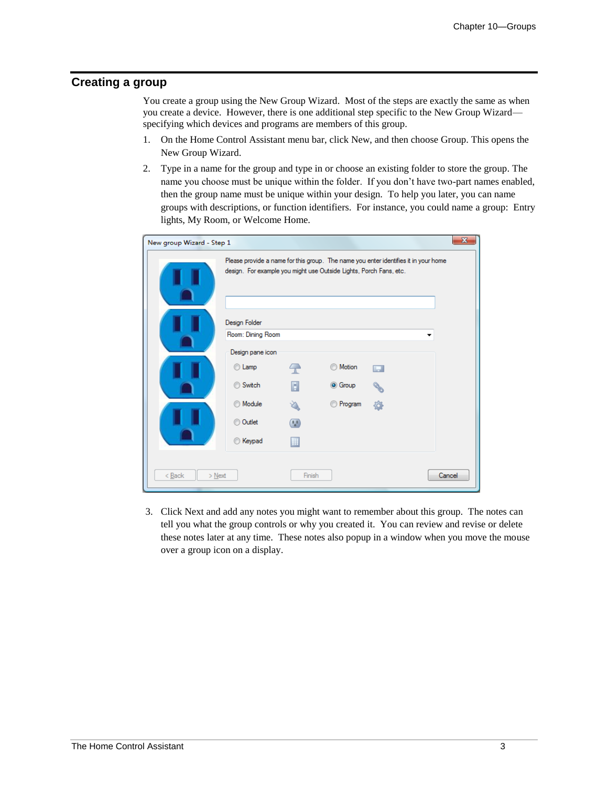# **Creating a group**

You create a group using the New Group Wizard. Most of the steps are exactly the same as when you create a device. However, there is one additional step specific to the New Group Wizard specifying which devices and programs are members of this group.

- 1. On the Home Control Assistant menu bar, click New, and then choose Group. This opens the New Group Wizard.
- 2. Type in a name for the group and type in or choose an existing folder to store the group. The name you choose must be unique within the folder. If you don't have two-part names enabled, then the group name must be unique within your design. To help you later, you can name groups with descriptions, or function identifiers. For instance, you could name a group: Entry lights, My Room, or Welcome Home.

| $\mathbf{x}$<br>New group Wizard - Step 1<br>Please provide a name for this group. The name you enter identifies it in your home<br>design. For example you might use Outside Lights, Porch Fans, etc. |                                    |                          |                                  |   |   |  |  |
|--------------------------------------------------------------------------------------------------------------------------------------------------------------------------------------------------------|------------------------------------|--------------------------|----------------------------------|---|---|--|--|
|                                                                                                                                                                                                        | Design Folder<br>Room: Dining Room |                          |                                  |   | ▼ |  |  |
|                                                                                                                                                                                                        | Design pane icon<br>C Lamp         | $\overline{\phantom{a}}$ | Motion                           | m |   |  |  |
|                                                                                                                                                                                                        | Switch<br><b>Module</b>            | П                        | <b>O</b> Group<br><b>Program</b> | Ò |   |  |  |
|                                                                                                                                                                                                        | Outlet                             | $\blacksquare$           |                                  |   |   |  |  |
|                                                                                                                                                                                                        | Keypad<br>⋒                        |                          |                                  |   |   |  |  |
| Cancel<br>$<$ Back<br>Finish<br>$>\underline{\text{Next}}$                                                                                                                                             |                                    |                          |                                  |   |   |  |  |

3. Click Next and add any notes you might want to remember about this group. The notes can tell you what the group controls or why you created it. You can review and revise or delete these notes later at any time. These notes also popup in a window when you move the mouse over a group icon on a display.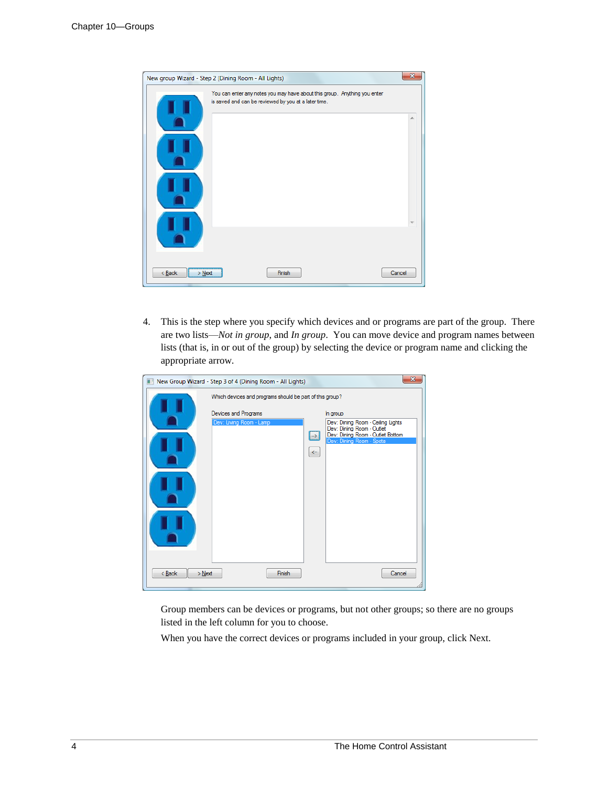|                      | New group Wizard - Step 2 (Dining Room - All Lights)                                                                              | $\overline{\mathbf{x}}$ |
|----------------------|-----------------------------------------------------------------------------------------------------------------------------------|-------------------------|
|                      | You can enter any notes you may have about this group. Anything you enter<br>is saved and can be reviewed by you at a later time. |                         |
|                      |                                                                                                                                   | 스                       |
|                      |                                                                                                                                   |                         |
|                      |                                                                                                                                   |                         |
|                      |                                                                                                                                   |                         |
|                      |                                                                                                                                   |                         |
| $<$ Back<br>$>$ Next | Finish                                                                                                                            | Cancel                  |

4. This is the step where you specify which devices and or programs are part of the group. There are two lists—*Not in group*, and *In group*. You can move device and program names between lists (that is, in or out of the group) by selecting the device or program name and clicking the appropriate arrow.

| 前                  | New Group Wizard - Step 3 of 4 (Dining Room - All Lights) | $\overline{\mathbf{x}}$                                              |  |  |  |  |  |  |  |
|--------------------|-----------------------------------------------------------|----------------------------------------------------------------------|--|--|--|--|--|--|--|
|                    | Which devices and programs should be part of this group?  |                                                                      |  |  |  |  |  |  |  |
|                    | Devices and Programs                                      | In group                                                             |  |  |  |  |  |  |  |
|                    | Dev: Living Room - Lamp                                   | Dev: Dining Room - Ceiling Lights                                    |  |  |  |  |  |  |  |
|                    |                                                           | Dev: Dining Room - Outlet<br>Dev: Dining Room - Outlet Bottom<br>l⇒l |  |  |  |  |  |  |  |
|                    |                                                           | Dev: Dining Room - Spots                                             |  |  |  |  |  |  |  |
|                    |                                                           | $\leftarrow$                                                         |  |  |  |  |  |  |  |
|                    |                                                           |                                                                      |  |  |  |  |  |  |  |
|                    |                                                           |                                                                      |  |  |  |  |  |  |  |
|                    |                                                           |                                                                      |  |  |  |  |  |  |  |
|                    |                                                           |                                                                      |  |  |  |  |  |  |  |
| $Back$<br>$>$ Next | Finish                                                    | Cancel                                                               |  |  |  |  |  |  |  |

Group members can be devices or programs, but not other groups; so there are no groups listed in the left column for you to choose.

When you have the correct devices or programs included in your group, click Next.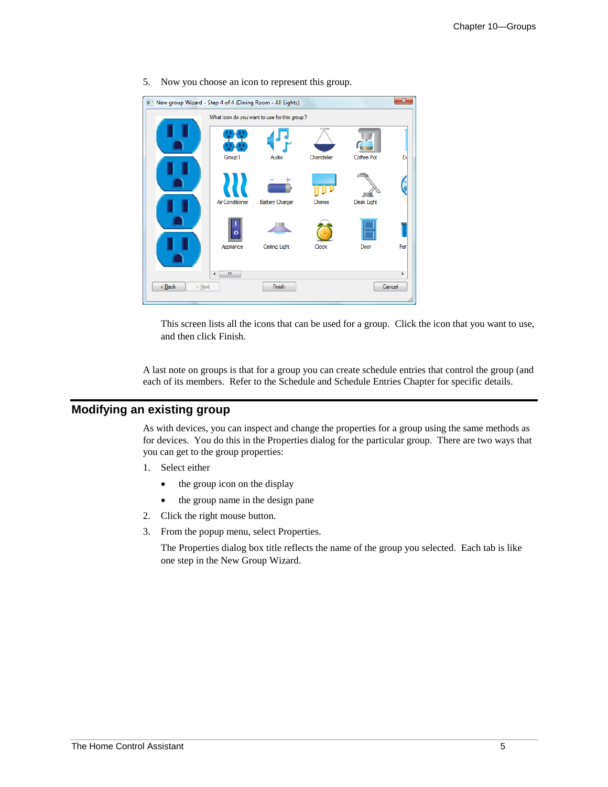

5. Now you choose an icon to represent this group.

This screen lists all the icons that can be used for a group. Click the icon that you want to use, and then click Finish.

A last note on groups is that for a group you can create schedule entries that control the group (and each of its members. Refer to the Schedule and Schedule Entries Chapter for specific details.

## **Modifying an existing group**

As with devices, you can inspect and change the properties for a group using the same methods as for devices. You do this in the Properties dialog for the particular group. There are two ways that you can get to the group properties:

- 1. Select either
	- the group icon on the display
	- the group name in the design pane
- 2. Click the right mouse button.
- 3. From the popup menu, select Properties.

The Properties dialog box title reflects the name of the group you selected. Each tab is like one step in the New Group Wizard.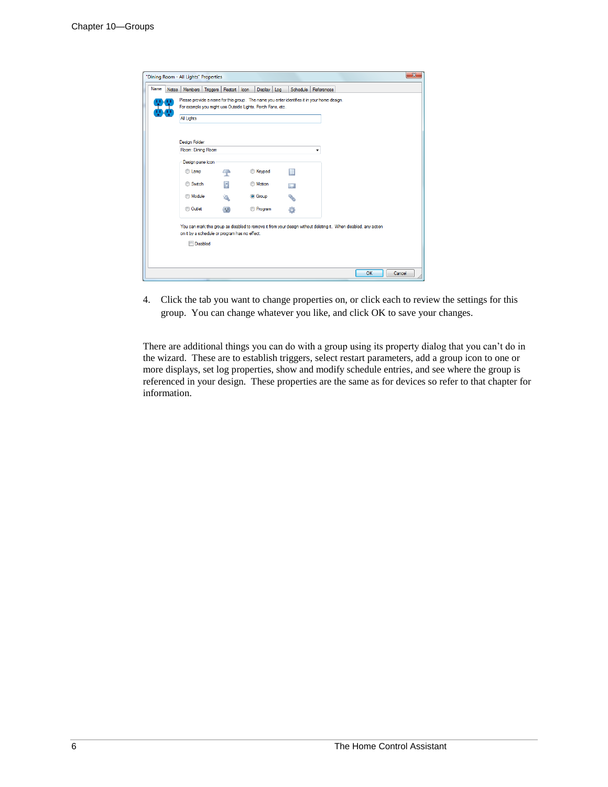| Name | <b>Notes</b> | <b>Members</b>                                             | Triggers Restart Icon |            |  | Display Log    |  |   | Schedule   References                                                                                            |  |  |  |  |
|------|--------------|------------------------------------------------------------|-----------------------|------------|--|----------------|--|---|------------------------------------------------------------------------------------------------------------------|--|--|--|--|
|      |              |                                                            |                       |            |  |                |  |   | Please provide a name for this group. The name you enter identifies it in your home design.                      |  |  |  |  |
|      |              | For example you might use Outside Lights, Porch Fans, etc. |                       |            |  |                |  |   |                                                                                                                  |  |  |  |  |
|      |              | All Lights                                                 |                       |            |  |                |  |   |                                                                                                                  |  |  |  |  |
|      |              |                                                            |                       |            |  |                |  |   |                                                                                                                  |  |  |  |  |
|      |              | <b>Design Folder</b>                                       |                       |            |  |                |  |   |                                                                                                                  |  |  |  |  |
|      |              | Room: Dining Room                                          |                       |            |  |                |  |   |                                                                                                                  |  |  |  |  |
|      |              | Design pane icon                                           |                       |            |  |                |  |   |                                                                                                                  |  |  |  |  |
|      |              | C Lamp                                                     |                       | $\sqrt{n}$ |  | <b>Keypad</b>  |  | H |                                                                                                                  |  |  |  |  |
|      |              | Switch                                                     |                       | п          |  | <b>Motion</b>  |  | ш |                                                                                                                  |  |  |  |  |
|      |              | <b>Module</b>                                              |                       |            |  | <b>O</b> Group |  |   |                                                                                                                  |  |  |  |  |
|      |              | <b>Outlet</b>                                              |                       | $\Box$     |  | <b>Program</b> |  |   |                                                                                                                  |  |  |  |  |
|      |              |                                                            |                       |            |  |                |  |   | You can mark this group as disabled to remove it from your design without deleting it. When disabled, any action |  |  |  |  |
|      |              | on it by a schedule or program has no effect.              |                       |            |  |                |  |   |                                                                                                                  |  |  |  |  |
|      |              | <b>Disabled</b>                                            |                       |            |  |                |  |   |                                                                                                                  |  |  |  |  |
|      |              |                                                            |                       |            |  |                |  |   |                                                                                                                  |  |  |  |  |
|      |              |                                                            |                       |            |  |                |  |   |                                                                                                                  |  |  |  |  |

4. Click the tab you want to change properties on, or click each to review the settings for this group. You can change whatever you like, and click OK to save your changes.

There are additional things you can do with a group using its property dialog that you can't do in the wizard. These are to establish triggers, select restart parameters, add a group icon to one or more displays, set log properties, show and modify schedule entries, and see where the group is referenced in your design. These properties are the same as for devices so refer to that chapter for information.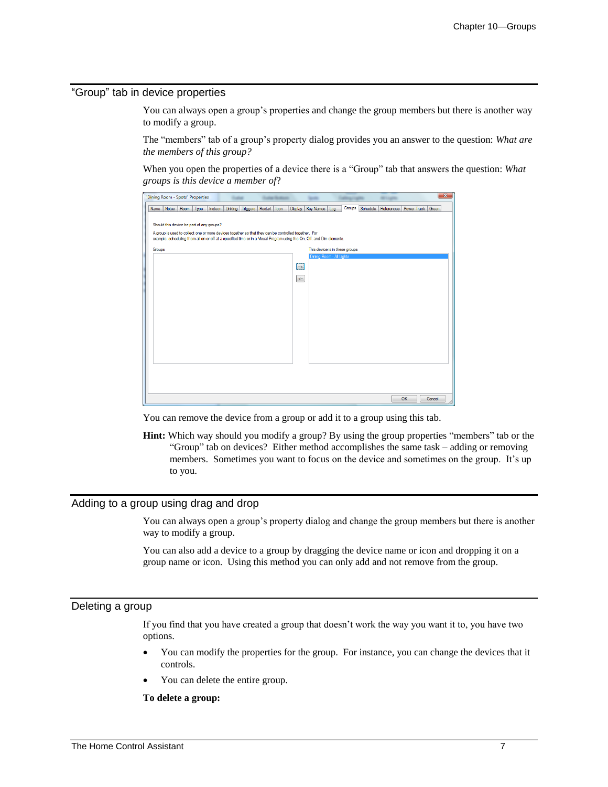#### "Group" tab in device properties

You can always open a group's properties and change the group members but there is another way to modify a group.

The "members" tab of a group's property dialog provides you an answer to the question: *What are the members of this group?*

When you open the properties of a device there is a "Group" tab that answers the question: *What groups is this device a member of*?

| "Dining Room - Spots" Properties                                                                                                                                                                                               | $\mathbf{x}$                                                        |  |  |  |  |  |  |  |
|--------------------------------------------------------------------------------------------------------------------------------------------------------------------------------------------------------------------------------|---------------------------------------------------------------------|--|--|--|--|--|--|--|
| Linking   Triggers   Restart   Icon<br>Room<br>Display<br><b>Notes</b><br>Type<br>Insteon<br>Name                                                                                                                              | Groups<br>Schedule References<br>Power Track Green<br>Key Names Log |  |  |  |  |  |  |  |
| Should this device be part of any groups?                                                                                                                                                                                      |                                                                     |  |  |  |  |  |  |  |
| A group is used to collect one or more devices together so that they can be controlled together. For<br>example, scheduling them all on or off at a specified time or in a Visual Program using the On, Off, and Dim elements. |                                                                     |  |  |  |  |  |  |  |
| Groups                                                                                                                                                                                                                         | This device is in these groups<br>Dining Room - All Lights          |  |  |  |  |  |  |  |
| $\rightarrow$                                                                                                                                                                                                                  |                                                                     |  |  |  |  |  |  |  |
| $\left\langle \cdots \right\rangle$                                                                                                                                                                                            |                                                                     |  |  |  |  |  |  |  |
|                                                                                                                                                                                                                                |                                                                     |  |  |  |  |  |  |  |
|                                                                                                                                                                                                                                |                                                                     |  |  |  |  |  |  |  |
|                                                                                                                                                                                                                                |                                                                     |  |  |  |  |  |  |  |
|                                                                                                                                                                                                                                |                                                                     |  |  |  |  |  |  |  |
|                                                                                                                                                                                                                                |                                                                     |  |  |  |  |  |  |  |
|                                                                                                                                                                                                                                |                                                                     |  |  |  |  |  |  |  |
|                                                                                                                                                                                                                                |                                                                     |  |  |  |  |  |  |  |
|                                                                                                                                                                                                                                | OK<br>Cancel                                                        |  |  |  |  |  |  |  |
|                                                                                                                                                                                                                                |                                                                     |  |  |  |  |  |  |  |

You can remove the device from a group or add it to a group using this tab.

**Hint:** Which way should you modify a group? By using the group properties "members" tab or the "Group" tab on devices? Either method accomplishes the same task – adding or removing members. Sometimes you want to focus on the device and sometimes on the group. It's up to you.

#### Adding to a group using drag and drop

You can always open a group's property dialog and change the group members but there is another way to modify a group.

You can also add a device to a group by dragging the device name or icon and dropping it on a group name or icon. Using this method you can only add and not remove from the group.

#### Deleting a group

If you find that you have created a group that doesn't work the way you want it to, you have two options.

- You can modify the properties for the group. For instance, you can change the devices that it controls.
- You can delete the entire group.

#### **To delete a group:**